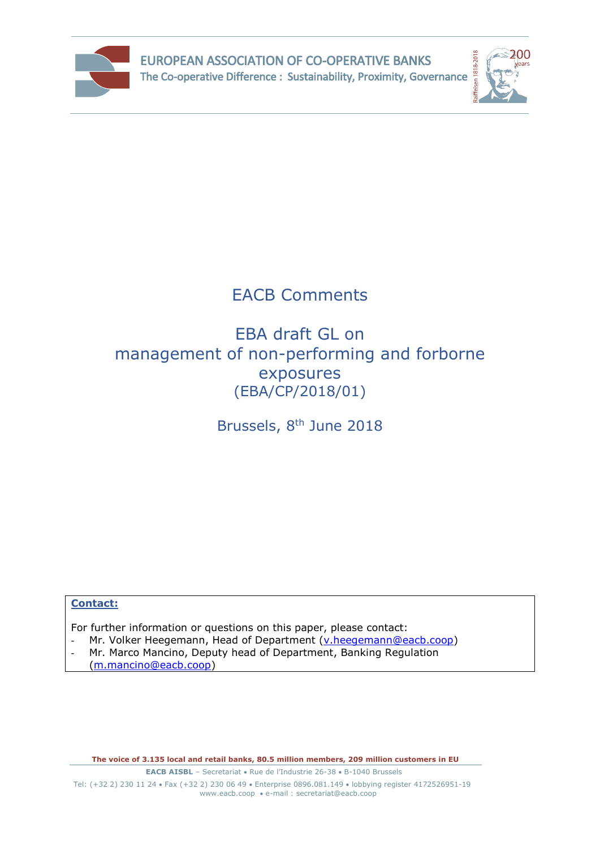



# EACB Comments

## EBA draft GL on management of non-performing and forborne exposures (EBA/CP/2018/01)

Brussels, 8<sup>th</sup> June 2018

#### **Contact:**

For further information or questions on this paper, please contact:

- Mr. Volker Heegemann, Head of Department [\(v.heegemann@eacb.coop\)](mailto:v.heegemann@eacb.coop)
- Mr. Marco Mancino, Deputy head of Department, Banking Regulation [\(m.mancino@eacb.coop\)](mailto:m.mancino@eacb.coop)

**The voice of 3.135 local and retail banks, 80.5 million members, 209 million customers in EU**

**EACB AISBL** – Secretariat • Rue de l'Industrie 26-38 • B-1040 Brussels Tel: (+32 2) 230 11 24 · Fax (+32 2) 230 06 49 · Enterprise 0896.081.149 · lobbying register 4172526951-19 [www.eacb.coop](http://www.eacb.coop/)  e-mail : [secretariat@eacb.coop](mailto:secretariat@eacb.coop)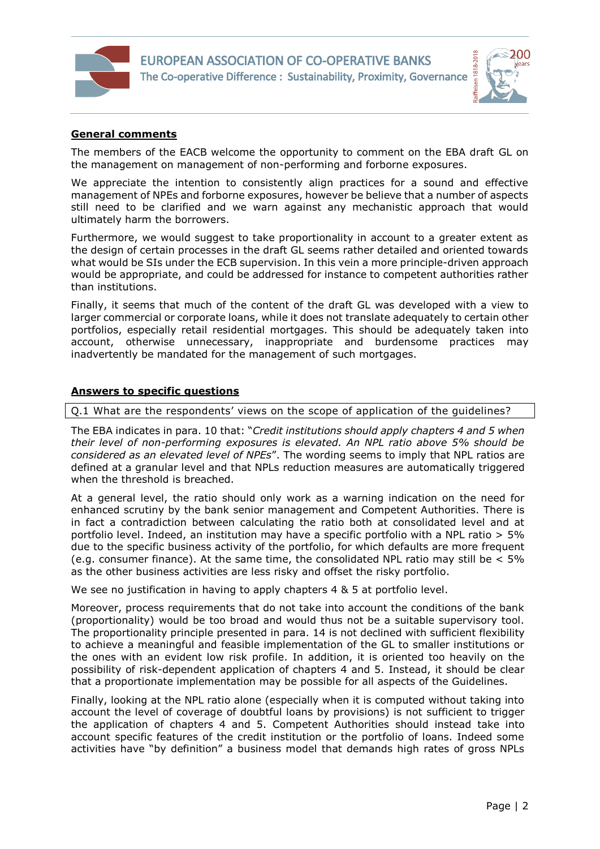



#### **General comments**

 $\overline{a}$ 

The members of the EACB welcome the opportunity to comment on the EBA draft GL on the management on management of non-performing and forborne exposures.

We appreciate the intention to consistently align practices for a sound and effective management of NPEs and forborne exposures, however be believe that a number of aspects still need to be clarified and we warn against any mechanistic approach that would ultimately harm the borrowers.

Furthermore, we would suggest to take proportionality in account to a greater extent as the design of certain processes in the draft GL seems rather detailed and oriented towards what would be SIs under the ECB supervision. In this vein a more principle-driven approach would be appropriate, and could be addressed for instance to competent authorities rather than institutions.

Finally, it seems that much of the content of the draft GL was developed with a view to larger commercial or corporate loans, while it does not translate adequately to certain other portfolios, especially retail residential mortgages. This should be adequately taken into account, otherwise unnecessary, inappropriate and burdensome practices may inadvertently be mandated for the management of such mortgages.

#### **Answers to specific questions**

Q.1 What are the respondents' views on the scope of application of the guidelines?

The EBA indicates in para. 10 that: "*Credit institutions should apply chapters 4 and 5 when their level of non-performing exposures is elevated. An NPL ratio above 5% should be considered as an elevated level of NPEs*". The wording seems to imply that NPL ratios are defined at a granular level and that NPLs reduction measures are automatically triggered when the threshold is breached.

At a general level, the ratio should only work as a warning indication on the need for enhanced scrutiny by the bank senior management and Competent Authorities. There is in fact a contradiction between calculating the ratio both at consolidated level and at portfolio level. Indeed, an institution may have a specific portfolio with a NPL ratio > 5% due to the specific business activity of the portfolio, for which defaults are more frequent (e.g. consumer finance). At the same time, the consolidated NPL ratio may still be < 5% as the other business activities are less risky and offset the risky portfolio.

We see no justification in having to apply chapters 4 & 5 at portfolio level.

Moreover, process requirements that do not take into account the conditions of the bank (proportionality) would be too broad and would thus not be a suitable supervisory tool. The proportionality principle presented in para. 14 is not declined with sufficient flexibility to achieve a meaningful and feasible implementation of the GL to smaller institutions or the ones with an evident low risk profile. In addition, it is oriented too heavily on the possibility of risk-dependent application of chapters 4 and 5. Instead, it should be clear that a proportionate implementation may be possible for all aspects of the Guidelines.

Finally, looking at the NPL ratio alone (especially when it is computed without taking into account the level of coverage of doubtful loans by provisions) is not sufficient to trigger the application of chapters 4 and 5. Competent Authorities should instead take into account specific features of the credit institution or the portfolio of loans. Indeed some activities have "by definition" a business model that demands high rates of gross NPLs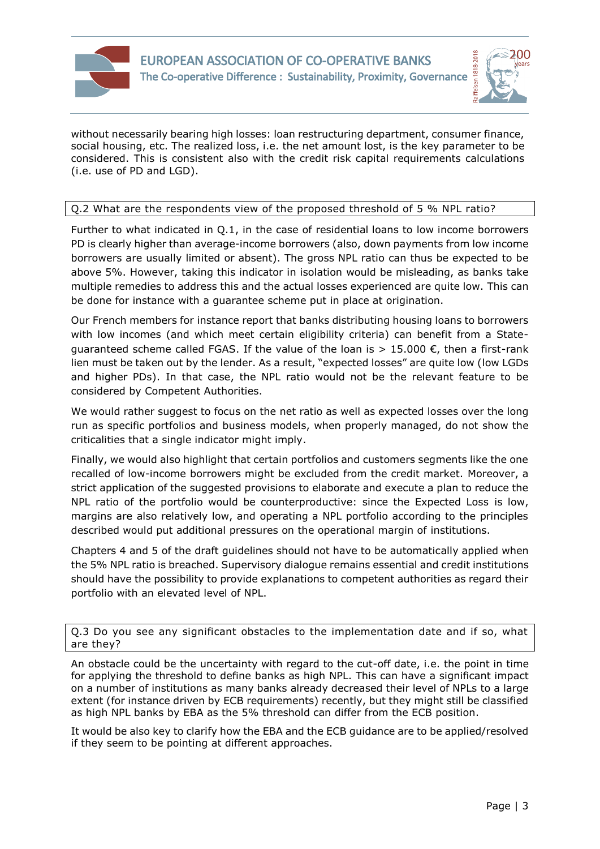



without necessarily bearing high losses: loan restructuring department, consumer finance, social housing, etc. The realized loss, i.e. the net amount lost, is the key parameter to be considered. This is consistent also with the credit risk capital requirements calculations (i.e. use of PD and LGD).

### Q.2 What are the respondents view of the proposed threshold of 5 % NPL ratio?

Further to what indicated in Q.1, in the case of residential loans to low income borrowers PD is clearly higher than average-income borrowers (also, down payments from low income borrowers are usually limited or absent). The gross NPL ratio can thus be expected to be above 5%. However, taking this indicator in isolation would be misleading, as banks take multiple remedies to address this and the actual losses experienced are quite low. This can be done for instance with a guarantee scheme put in place at origination.

Our French members for instance report that banks distributing housing loans to borrowers with low incomes (and which meet certain eligibility criteria) can benefit from a Statequaranteed scheme called FGAS. If the value of the loan is  $> 15.000 \text{ } \epsilon$ , then a first-rank lien must be taken out by the lender. As a result, "expected losses" are quite low (low LGDs and higher PDs). In that case, the NPL ratio would not be the relevant feature to be considered by Competent Authorities.

We would rather suggest to focus on the net ratio as well as expected losses over the long run as specific portfolios and business models, when properly managed, do not show the criticalities that a single indicator might imply.

Finally, we would also highlight that certain portfolios and customers segments like the one recalled of low-income borrowers might be excluded from the credit market. Moreover, a strict application of the suggested provisions to elaborate and execute a plan to reduce the NPL ratio of the portfolio would be counterproductive: since the Expected Loss is low, margins are also relatively low, and operating a NPL portfolio according to the principles described would put additional pressures on the operational margin of institutions.

Chapters 4 and 5 of the draft guidelines should not have to be automatically applied when the 5% NPL ratio is breached. Supervisory dialogue remains essential and credit institutions should have the possibility to provide explanations to competent authorities as regard their portfolio with an elevated level of NPL.

Q.3 Do you see any significant obstacles to the implementation date and if so, what are they?

An obstacle could be the uncertainty with regard to the cut-off date, i.e. the point in time for applying the threshold to define banks as high NPL. This can have a significant impact on a number of institutions as many banks already decreased their level of NPLs to a large extent (for instance driven by ECB requirements) recently, but they might still be classified as high NPL banks by EBA as the 5% threshold can differ from the ECB position.

It would be also key to clarify how the EBA and the ECB guidance are to be applied/resolved if they seem to be pointing at different approaches.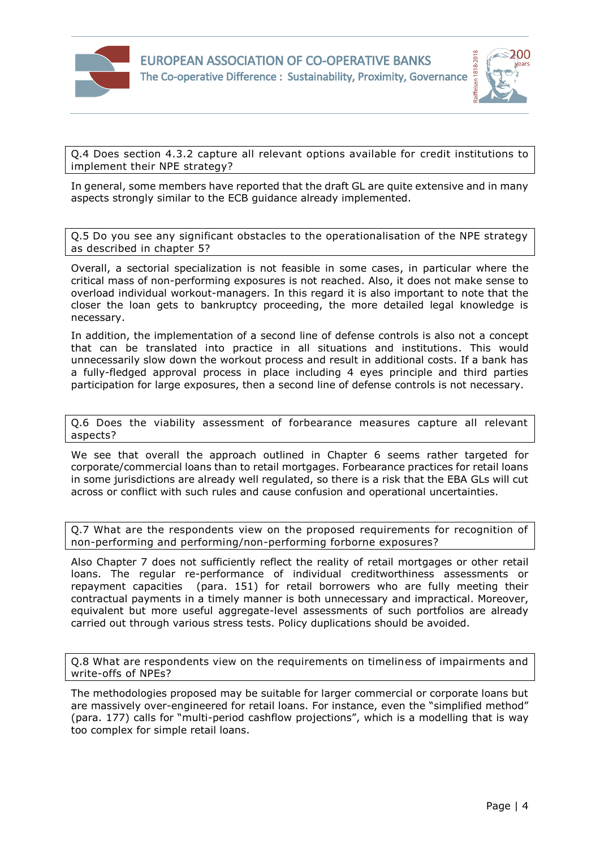



Q.4 Does section 4.3.2 capture all relevant options available for credit institutions to implement their NPE strategy?

In general, some members have reported that the draft GL are quite extensive and in many aspects strongly similar to the ECB guidance already implemented.

Q.5 Do you see any significant obstacles to the operationalisation of the NPE strategy as described in chapter 5?

Overall, a sectorial specialization is not feasible in some cases, in particular where the critical mass of non-performing exposures is not reached. Also, it does not make sense to overload individual workout-managers. In this regard it is also important to note that the closer the loan gets to bankruptcy proceeding, the more detailed legal knowledge is necessary.

In addition, the implementation of a second line of defense controls is also not a concept that can be translated into practice in all situations and institutions. This would unnecessarily slow down the workout process and result in additional costs. If a bank has a fully-fledged approval process in place including 4 eyes principle and third parties participation for large exposures, then a second line of defense controls is not necessary.

Q.6 Does the viability assessment of forbearance measures capture all relevant aspects?

We see that overall the approach outlined in Chapter 6 seems rather targeted for corporate/commercial loans than to retail mortgages. Forbearance practices for retail loans in some jurisdictions are already well regulated, so there is a risk that the EBA GLs will cut across or conflict with such rules and cause confusion and operational uncertainties.

Q.7 What are the respondents view on the proposed requirements for recognition of non-performing and performing/non-performing forborne exposures?

Also Chapter 7 does not sufficiently reflect the reality of retail mortgages or other retail loans. The regular re-performance of individual creditworthiness assessments or repayment capacities (para. 151) for retail borrowers who are fully meeting their contractual payments in a timely manner is both unnecessary and impractical. Moreover, equivalent but more useful aggregate-level assessments of such portfolios are already carried out through various stress tests. Policy duplications should be avoided.

Q.8 What are respondents view on the requirements on timeliness of impairments and write-offs of NPEs?

The methodologies proposed may be suitable for larger commercial or corporate loans but are massively over-engineered for retail loans. For instance, even the "simplified method" (para. 177) calls for "multi-period cashflow projections", which is a modelling that is way too complex for simple retail loans.